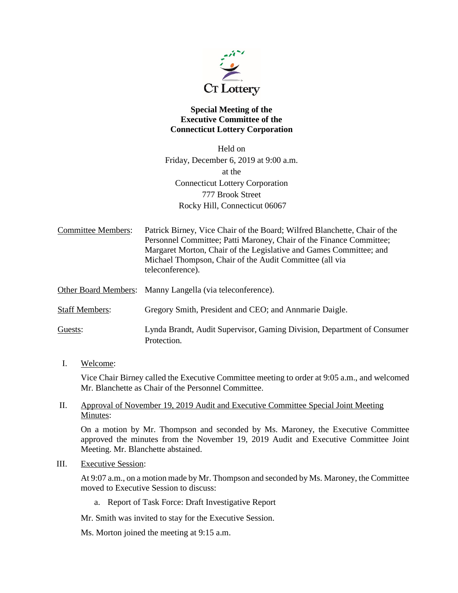

## **Special Meeting of the Executive Committee of the Connecticut Lottery Corporation**

Held on Friday, December 6, 2019 at 9:00 a.m. at the Connecticut Lottery Corporation 777 Brook Street Rocky Hill, Connecticut 06067

Committee Members: Patrick Birney, Vice Chair of the Board; Wilfred Blanchette, Chair of the Personnel Committee; Patti Maroney, Chair of the Finance Committee; Margaret Morton, Chair of the Legislative and Games Committee; and Michael Thompson, Chair of the Audit Committee (all via teleconference).

Other Board Members: Manny Langella (via teleconference).

Staff Members: Gregory Smith, President and CEO; and Annmarie Daigle.

Guests: Lynda Brandt, Audit Supervisor, Gaming Division, Department of Consumer Protection.

### I. Welcome:

Vice Chair Birney called the Executive Committee meeting to order at 9:05 a.m., and welcomed Mr. Blanchette as Chair of the Personnel Committee.

## II. Approval of November 19, 2019 Audit and Executive Committee Special Joint Meeting Minutes:

On a motion by Mr. Thompson and seconded by Ms. Maroney, the Executive Committee approved the minutes from the November 19, 2019 Audit and Executive Committee Joint Meeting. Mr. Blanchette abstained.

### III. Executive Session:

At 9:07 a.m., on a motion made by Mr. Thompson and seconded by Ms. Maroney, the Committee moved to Executive Session to discuss:

a. Report of Task Force: Draft Investigative Report

Mr. Smith was invited to stay for the Executive Session.

Ms. Morton joined the meeting at 9:15 a.m.